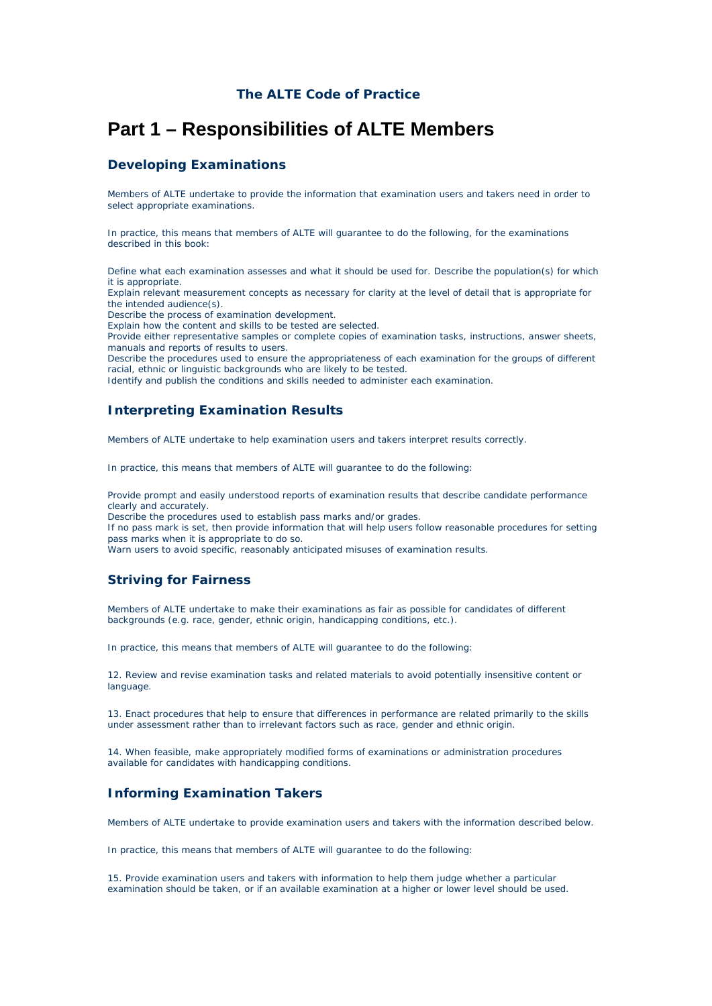# **Part 1 – Responsibilities of ALTE Members**

## **Developing Examinations**

Members of ALTE undertake to provide the information that examination users and takers need in order to select appropriate examinations.

In practice, this means that members of ALTE will guarantee to do the following, for the examinations described in this book:

Define what each examination assesses and what it should be used for. Describe the population(s) for which it is appropriate.

Explain relevant measurement concepts as necessary for clarity at the level of detail that is appropriate for the intended audience(s).

Describe the process of examination development.

Explain how the content and skills to be tested are selected.

Provide either representative samples or complete copies of examination tasks, instructions, answer sheets, manuals and reports of results to users.

Describe the procedures used to ensure the appropriateness of each examination for the groups of different racial, ethnic or linguistic backgrounds who are likely to be tested.

Identify and publish the conditions and skills needed to administer each examination.

## **Interpreting Examination Results**

Members of ALTE undertake to help examination users and takers interpret results correctly.

In practice, this means that members of ALTE will guarantee to do the following:

Provide prompt and easily understood reports of examination results that describe candidate performance clearly and accurately.

Describe the procedures used to establish pass marks and/or grades.

If no pass mark is set, then provide information that will help users follow reasonable procedures for setting pass marks when it is appropriate to do so.

Warn users to avoid specific, reasonably anticipated misuses of examination results.

## **Striving for Fairness**

Members of ALTE undertake to make their examinations as fair as possible for candidates of different backgrounds (e.g. race, gender, ethnic origin, handicapping conditions, etc.).

In practice, this means that members of ALTE will guarantee to do the following:

12. Review and revise examination tasks and related materials to avoid potentially insensitive content or language.

13. Enact procedures that help to ensure that differences in performance are related primarily to the skills under assessment rather than to irrelevant factors such as race, gender and ethnic origin.

14. When feasible, make appropriately modified forms of examinations or administration procedures available for candidates with handicapping conditions.

## **Informing Examination Takers**

Members of ALTE undertake to provide examination users and takers with the information described below.

In practice, this means that members of ALTE will guarantee to do the following:

15. Provide examination users and takers with information to help them judge whether a particular examination should be taken, or if an available examination at a higher or lower level should be used.